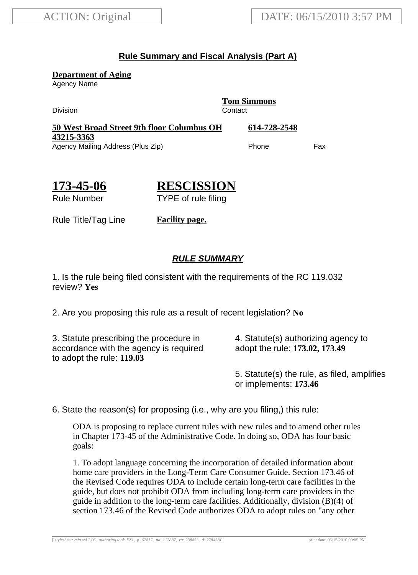## **Rule Summary and Fiscal Analysis (Part A)**

**Department of Aging**

Agency Name

Division Contact

**Tom Simmons**

**50 West Broad Street 9th floor Columbus OH 43215-3363 614-728-2548** Agency Mailing Address (Plus Zip) example and the Phone Fax

**173-45-06**

**RESCISSION** TYPE of rule filing

Rule Number

Rule Title/Tag Line **Facility page.**

## **RULE SUMMARY**

1. Is the rule being filed consistent with the requirements of the RC 119.032 review? **Yes**

2. Are you proposing this rule as a result of recent legislation? **No**

3. Statute prescribing the procedure in accordance with the agency is required to adopt the rule: **119.03**

4. Statute(s) authorizing agency to adopt the rule: **173.02, 173.49**

5. Statute(s) the rule, as filed, amplifies or implements: **173.46**

6. State the reason(s) for proposing (i.e., why are you filing,) this rule:

ODA is proposing to replace current rules with new rules and to amend other rules in Chapter 173-45 of the Administrative Code. In doing so, ODA has four basic goals:

1. To adopt language concerning the incorporation of detailed information about home care providers in the Long-Term Care Consumer Guide. Section 173.46 of the Revised Code requires ODA to include certain long-term care facilities in the guide, but does not prohibit ODA from including long-term care providers in the guide in addition to the long-term care facilities. Additionally, division  $(B)(4)$  of section 173.46 of the Revised Code authorizes ODA to adopt rules on "any other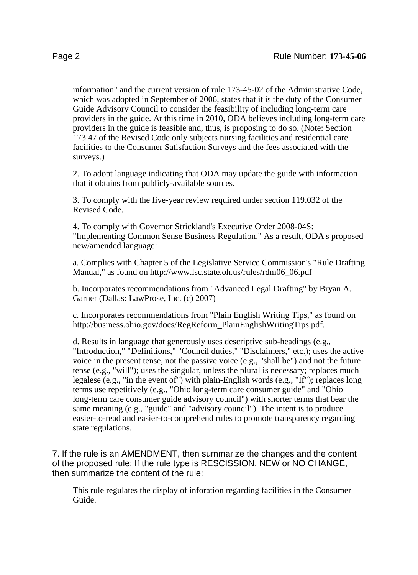information" and the current version of rule 173-45-02 of the Administrative Code, which was adopted in September of 2006, states that it is the duty of the Consumer Guide Advisory Council to consider the feasibility of including long-term care providers in the guide. At this time in 2010, ODA believes including long-term care providers in the guide is feasible and, thus, is proposing to do so. (Note: Section 173.47 of the Revised Code only subjects nursing facilities and residential care facilities to the Consumer Satisfaction Surveys and the fees associated with the surveys.)

2. To adopt language indicating that ODA may update the guide with information that it obtains from publicly-available sources.

3. To comply with the five-year review required under section 119.032 of the Revised Code.

4. To comply with Governor Strickland's Executive Order 2008-04S: "Implementing Common Sense Business Regulation." As a result, ODA's proposed new/amended language:

a. Complies with Chapter 5 of the Legislative Service Commission's "Rule Drafting Manual," as found on http://www.lsc.state.oh.us/rules/rdm06\_06.pdf

b. Incorporates recommendations from "Advanced Legal Drafting" by Bryan A. Garner (Dallas: LawProse, Inc. (c) 2007)

c. Incorporates recommendations from "Plain English Writing Tips," as found on http://business.ohio.gov/docs/RegReform\_PlainEnglishWritingTips.pdf.

d. Results in language that generously uses descriptive sub-headings (e.g., "Introduction," "Definitions," "Council duties," "Disclaimers," etc.); uses the active voice in the present tense, not the passive voice (e.g., "shall be") and not the future tense (e.g., "will"); uses the singular, unless the plural is necessary; replaces much legalese (e.g., "in the event of") with plain-English words (e.g., "If"); replaces long terms use repetitively (e.g., "Ohio long-term care consumer guide" and "Ohio long-term care consumer guide advisory council") with shorter terms that bear the same meaning (e.g., "guide" and "advisory council"). The intent is to produce easier-to-read and easier-to-comprehend rules to promote transparency regarding state regulations.

7. If the rule is an AMENDMENT, then summarize the changes and the content of the proposed rule; If the rule type is RESCISSION, NEW or NO CHANGE, then summarize the content of the rule:

This rule regulates the display of inforation regarding facilities in the Consumer Guide.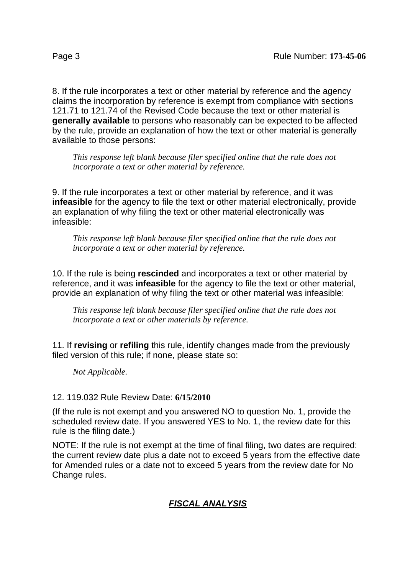8. If the rule incorporates a text or other material by reference and the agency claims the incorporation by reference is exempt from compliance with sections 121.71 to 121.74 of the Revised Code because the text or other material is **generally available** to persons who reasonably can be expected to be affected by the rule, provide an explanation of how the text or other material is generally available to those persons:

*This response left blank because filer specified online that the rule does not incorporate a text or other material by reference.*

9. If the rule incorporates a text or other material by reference, and it was **infeasible** for the agency to file the text or other material electronically, provide an explanation of why filing the text or other material electronically was infeasible:

*This response left blank because filer specified online that the rule does not incorporate a text or other material by reference.*

10. If the rule is being **rescinded** and incorporates a text or other material by reference, and it was **infeasible** for the agency to file the text or other material, provide an explanation of why filing the text or other material was infeasible:

*This response left blank because filer specified online that the rule does not incorporate a text or other materials by reference.*

11. If **revising** or **refiling** this rule, identify changes made from the previously filed version of this rule; if none, please state so:

*Not Applicable.*

## 12. 119.032 Rule Review Date: **6/15/2010**

(If the rule is not exempt and you answered NO to question No. 1, provide the scheduled review date. If you answered YES to No. 1, the review date for this rule is the filing date.)

NOTE: If the rule is not exempt at the time of final filing, two dates are required: the current review date plus a date not to exceed 5 years from the effective date for Amended rules or a date not to exceed 5 years from the review date for No Change rules.

## **FISCAL ANALYSIS**